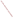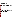#### **OVERVIEW SECTION**

| <b>AGENCY:</b> | ENVIRONMENTAL PROTECTION AGENCY (EPA)                              |
|----------------|--------------------------------------------------------------------|
| <b>TITLE:</b>  | National Clean Diesel Campaign Demonstration Assistance Agreements |
| <b>ACTION:</b> | Request for Applications (RFA)                                     |
| <b>RFA NO:</b> | <b>OAR-CCD-05-14</b>                                               |

### **CATALOG OF FEDERAL DOMESTIC ASSISTANCE (CDFA) NUMBER:** 66.034

**DATES:** The closing date and time for receipt of Applications is July 1, 2005, 5:00 p.m. EDT. All applications, however transmitted, must be received in the Program Office by the closing date and time to receive consideration.

To allow for efficient management of the competitive process, EPA requests eligible organizations submit an informal notice of "Intent to Apply" by May 27, 2005. Submission of an Intent to Apply is optional; it is a process management tool that will allow the EPA to better anticipate the total staff time required for efficient review, evaluation, and selection of submitted proposals.

**SUMMARY:** This notice announces the availability of funds and solicits proposals from eligible entities for partnership projects that demonstrate the applicability and feasibility of implementation of EPA and/or California Air Resources Board verified (or certified) pollution reduction retrofit technologies in nonroad vehicles and equipment such as those used in construction or port-related activities. Eligible activities include the use of verified pollution control technologies or innovative usages of verified pollution control technologies in nonroad diesel vehicles and equipment in public, tribal or privately owned fleets. Diesel engine/vehicle/equipment replacements or the application of cleaner fuels are also eligible. School bus projects have a separate, dedicated funding opportunity and are not eligible under this competition.

**FUNDING/AWARDS:** The total funding for this competitive opportunity is estimated to be \$800,000. EPA anticipates award of 8-12 cooperative agreements, ranging in value from \$50,000- \$150,000 with a maximum funding level of \$200,000 per award.

# **CONTENTS BY SECTION:**

- I. Funding Opportunity Description
- II. Award Information
- III. Eligibility Information
- IV. Application and Submission Information
- V. Application Review Information
- VI. Award Administration Information
- VII. Agency Contacts
- VIII. Other Information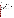#### **I. FUNDING OPPORTUNITY DESCRIPTION**

#### **A. Background**

Reducing emissions from diesel engines is one of the most important air quality challenges facing the country. Even with more stringent heavy-duty highway and nonroad engine standards set to take effect over the next decade, millions of diesel engines already in use will continue to emit large amounts of nitrogen oxides, particulate matter and air toxics, which contribute to serious public health problems. These problems are manifested by thousands of instances of premature mortality, hundreds of thousands of asthma attacks, millions of lost work days, and numerous other health impacts.

EPA's National Clean Diesel Campaign (NCDC) encompasses regulatory standards for engines and voluntary efforts aimed at reducing emissions from the more than 11 million diesel engines in the nation's existing fleet. EPA has outlined five sectors for obtaining significant emissions reduction in today's fleet. These sectors are school buses, ports, construction, freight, and agriculture. This Request for Applications is part of the Clean Construction and Clean Ports USA sectors' effort to assist the users of nonroad vehicles and equipment in overcoming barriers to the adoption of cleaner diesel technologies and strategies.

The EPA and the California Air Resources Board (CARB) have established verification processes for emissions control technologies that review, test, and approve the emission reduction potential of various pollution control technologies that can be installed on existing diesel vehicles and engines. A list of EPA and CARB verified technologies can be found on each agency's website. $1$ 

EPA recognizes that vehicle and equipment operators may encounter a variety of obstacles as they work to implement successful retrofit and replacement projects given that the applications and operating conditions of retrofit strategies can vary widely. In addition, the agency is aware that currently there are limited proven technological options for nonroad vehicles and equipment. This Request for Applications aims to promote demonstration projects that foster increased use of retrofit approaches and engine/vehicle/equipment replacements by providing financial and technical assistance to demonstrate the innovative use of certified or verified technologies in new applications and under a variety of operating conditions. These projects will serve as case studies for public and private entities considering retrofit strategies for nonroad diesel vehicles and equipment and will expand the scope and breadth of EPA's efforts to reduce pollution from a greater number of the existing diesel fleets.

Demonstrations generally must involve **new or experimental** technologies, methods, or approaches, where the results of the project will be disseminated so that others can benefit from the

<u>.</u>

<sup>1</sup> Information on EPA's program and a list of verified technologies can be found at:

<http://www.epa.gov/otaq/retrofit/retroverifiedlist.htm>and information on CARB's verification program and be accessed at:<http://www.arb.ca.gov/diesel/verdev/verdev.htm>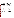knowledge gained in the demonstration project. A project that is accomplished through the performance of routine, traditional, or established practices, or a project that is simply intended to carry out a task rather than transfer information or advance the state of knowledge, however worthwhile the project might be, is not a demonstration.

For examples of demonstration projects involving the reduction of heavy-duty diesel emissions that EPA approved in 2004, see EPA's National Clean Diesel Campaign's Grants and Funding page: (http://www.epa.gov/cleandiesel/grantfund.htm)

### **B. EPA Strategic Plan Linkage and Anticipated Outcomes/Outputs.**

- 1. *Linkage to EPA Strategic Plan<sup>2</sup>*. This project supports progress towards EPA Strategic Plan Goal 1(Clean Air and Global Climate Change) and Objective 1.1 (Healthier Outdoor Air). The following Sub-Objectives also apply: 1.1.1 (More People Breathing Cleaner Air) and 1.1.2 (Reduce Risk from Toxic Air Pollutants).
- 2. *Outcomes.* Through this program, EPA anticipates significant reductions in nitrogen oxides, sulfur oxides, and air toxics as well other diesel pollutants. Reductions in pollution emissions are intermediate outcomes to measure progress toward improved ambient air quality and reduced mortality and morbidity from air pollution.
- 3. *Outputs.* The anticipated output for this project is reduced emissions from nonroad vehicles and equipment. In addition to the specific emissions reductions from the projects funded under this opportunity, EPA expects that these projects will encourage additional non-federally funded projects by serving as an example or demonstration of retrofit feasibility and effectiveness to other communities and fleets.

# **C. Scope of Work.**

The purpose of this solicitation is to fund demonstration projects that will show the feasibility of retrofit technologies and demonstrate the reduction of diesel emissions from in-use, nonroad vehicles and equipment such as those used in construction and port-related activities through the use of EPA and/or CARB verified (or certified) pollution reduction technologies. Eligible applicants include state, local, multi-state, tribal agencies, universities and non-profit public or private organizations or institutions involved with air quality or health issues. EPA is particularly interested in proposals which address the following elements:

*Using Verified/Certified Technologies.* Applicants are advised that retrofit and/or replacement technologies must be verified or certified technologies through EPA's verification program or EPA certification program or by CARB. A list of EPA verified technologies is available at [http://www.epa.gov/otaq/retrofit/retroverifiedlist.htm.](http://www.epa.gov/otaq/retrofit/retroverifiedlist.htm) CARB verified technologies may be found at [http://www.arb.ca.gov/diesel/verdev/verdev.htm.](http://www.arb.ca.gov/diesel/verdev/verdev.htm)

 $\overline{a}$ 2 EPA's Strategic Plan can be found at:<http://www.epa.gov/ocfopage/plan/2003sp.pdf>.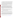*Innovative Approaches.* EPA is seeking innovative proposals that can demonstrate the use of EPA or CARB verified or certified retrofit technologies (or the innovative use of those technologies in non-verified applications), engine/vehicle/equipment replacements and/or cleaner fuels, including ultra low sulfur diesel (ULSD), to reduce air pollution from nonroad heavy-duty diesel engines.

*Potential for Widespread Adoption.* Projects should demonstrate applications of retrofit technologies, cleaner fuels or engine/vehicle/equipment replacements that have not yet been widely implemented but have the potential for wider utilization (i.e., on large engine populations). The agency will consider cost effectiveness in its determination of the potential for widespread adoption of an emissions reduction strategy. Applicants should provide a method for calculating the cost effectiveness of their project's emissions reduction.

*Environmental Management Systems (EMS) and other Emissions Reducing Practices and Policies.* EPA encourages the adoption of practices and policies that reduce diesel emissions and other air pollution. Examples include but are not limited to the adoption of an  $EMS<sup>3</sup>$  strategy, community-based toxics reduction programs, anti-idling policies, port-related information technology enhancements that have an emissions benefit and construction practices that reduce exposure or production of PM, such as watering or providing crushed stone bases for loading areas, limiting truck entrances and exits and operating vehicles and equipment away from fresh air intakes for buildings. Entities that maintain, adopt, renew an EMS or identify air issues as significant via their EMS, policy, or practice that reduces diesel emissions will be given preferential treatment in the selection process.

*Partnerships.* Applicants should demonstrate a partnership or cooperative relationship with nonroad vehicle and equipment fleets in their jurisdiction (e.g. port authorities, terminal operators, fleet managers, owner-operators, construction companies) to reduce diesel emissions.

#### **D. Retrofit, Replacement and Cleaner Fuels Options**

Strategies to be considered under this program include the retrofit or replacement of existing engines/vehicles/equipment and switching to cleaner fuels in nonroad vehicles and equipment. School bus projects have a separate, dedicated funding opportunity and are not eligible under this competition.

*Retrofit:* After-treatment emissions control technology options include diesel particulate filters, diesel oxidation catalysts, and systems involving crankcase control, among others. It should be noted that diesel particulate filters need to be used in conjunction with ultra-low sulfur diesel fuel. In addition, filters may not be appropriate for all duty cycles or vehicles/equipment. Datalogging of vehicles/equipment will be necessary to assure that filters are an appropriate application for the particular vehicles/equipment; the applicant should provide information about completed datalogging or plans for datalogging and likelihood of success if filters are the chosen technology.

<u>.</u>

<sup>3</sup> For more information on Environmental Management Systems, see [http://www.epa.gov/ems/index.htm.](http://www.epa.gov/ems/index.htm)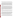EPA can provide up to 100 percent of the costs for these retrofit technologies and can provide funding assistance for the incremental cost of the cleaner fuel required in many retrofit applications.

 *Repowers and Engine Upgrades for Cleaner Emissions*: Repower refers to the removal of an existing engine and its replacement with a newer or cleaner engine. Some engines may be able to be upgraded to cleaner emissions standards using manufacturer recommended upgrades or kits to certified or verified configurations. Repowers and upgrades may include the addition of newer, cleaner technologies, re-calibrations, and/or other parts to reduce the emissions from the engines. For repowers, the engine being replaced must be scrapped, remanufactured by an original engine manufacturer to a cleaner standard or rendered permanently disabled. Drilling a hole in the engine block and manifold while retaining possession of the engine is an acceptable scrapping method. Other methods may be considered. Evidence of appropriate disposal is required in the final report submitted to EPA.

EPA is particularly interested in engine upgrades or repowers that include combined verified improvements which will further reduce emissions, e.g., through the addition of verified retrofit technologies such as a diesel particulate filter, diesel oxidation catalyst or crankcase emission control. Applicants should explain what is being tested and what new information can be learned from this project. Applicants should provide information in their application to show the feasibility of an engine replacement or upgrade strategy, as engine and vehicle/equipment design differences may make some engine replacements or upgrades difficult. Information regarding feasibility could include a letter from an original engine manufacturer and/or their associated service center indicating that the repower or engine upgrade is appropriate for the application. EPA may provide up to 50 percent of the cost of an engine repower or upgrade, and may provide the total cost of verified after-treatment devices. Preference will be given to applications requesting a lower funding percentage.

*Cleaner fuels:* Cleaner fuels include but are not limited to: ultra-low sulfur diesel fuel, biodiesel, compressed natural gas, liquefied natural gas, propane, and emulsions or additives verified by EPA or CARB. EPA may pay for the cost differential between the cleaner fuel and standard diesel fuel.

*Replacement:* Nonroad diesel vehicles and equipment can be replaced under this program with newer, cleaner vehicles and equipment. Replacement projects can include the replacement of diesel vehicles and equipment with hybrid or alternative fuel vehicles/equipment or the replacement of nonroad vehicles/equipment with highway models if the engine's operating cycles make the replacement technically feasible. EPA encourages the replacement of older vehicles and equipment containing engines that were manufactured prior to the implementation of emissions standards. Typically, these "uncontrolled" engines were manufactured prior to 1996. As with engine replacements, proposals must specify how the vehicles/equipment will be disposed.

It is not EPA's intention to fund replacement projects that would have occurred through the normal attrition of vehicles and equipment or to provide funds for expanding a fleet. Therefore, applicants are strongly advised to provide evidence in their applications that the replacement activity would not have occurred without the financial assistance provided by the agency. Supporting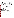evidence can include verification that the vehicles or equipment being replaced have at least five years of useful life left and fleet characterizations showing fleet age ranges and average turnover rates. In addition, applications must demonstrate that replacement vehicles and equipment will perform the same function of the vehicles and equipment being replaced (e.g. - an excavator digging pipelines is replaced with an excavator that continues to dig pipelines). Typically, replacement vehicles/machines should be the same type of vehicles/machines and horsepower (hp) range as the vehicles/equipment being replaced (e.g. - a 300hp bulldozer is replaced with a 290hp bulldozer). If the applicant can demonstrate an overall air quality benefit, EPA will consider an exception to this condition. An example may include the replacement of one (or two) draglines for an excavator. However, the replacement vehicles and equipment can not serve to expand the fleet into new business and must serve to provide the same functions performed by the original vehicles and equipment.

 EPA may pay a range of the percentage of the cost of the cleaner newer vehicles and equipment, with the top of the range between 20 and 45 percent. EPA will favor and rank more competitively proposals where applicants are providing a higher percentage of the cost for the new vehicles and equipment. The application must commit to the condition that the applicant will show evidence to EPA that the old engine from the replaced vehicle or equipment has been scrapped within 90 days of the delivery of the replacement vehicle or machine. This evidence must also be provided to EPA in the final report. "Scrapped" is defined as a permanently disabled engine, no longer suitable for use, such as a hole drilled in the engine block and manifold. Original engines may also be sent to the original engine manufacturer (OEM) for remanufacturing if the OEM will commit to remanufacture the engine to a cleaner standard. Owner/operators of the original vehicle or equipment may retain possession of the scrapped engine and chassis.

#### **E. Supplementary Information.**

Applicants may propose to establish a sub-grant program. A public, non-profit or tribal entity may make an application for multiple nonroad vehicles and equipment such as construction and port-related equipment, either publicly or privately operated. The applicant must indicate a process by which they will award sub-grants to the owner/operators of the vehicles and equipment. Note that letters of support are strongly suggested from possible sub-grantees.

The statutory authority for this action is Clean Air Act, Section 103(b)(3) which authorizes the award of grants for research, investigations, experiments, demonstrations, surveys, and studies related to innovative technology, and their potential effectiveness to improve fuel economy and reduce emissions.

The applicant must commit to an intent to show results, and share that information about their project with other interested parties and the public. This includes the willingness to allow testing and/or evaluation of the technologies by the manufacturer, EPA, or the Agency's designee. The sharing of this information will be useful for implementing future retrofit projects.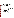### **II.** AWARD INFORMATION

#### **A. What is the amount of funding available?**

Awards in fiscal year 2005 will range up to \$200,000 per award, with an estimated average award of \$50,000 - \$150,000. We anticipate between 8-12 projects.

#### **B. What is the project period for awards resulting from this solicitation?**

The estimated project period for awards resulting from this solicitation is October, 2005 through October, 2007.

#### **C. How many agreements will EPA award in this competition?**

EPA anticipates awarding between 8 and 12 cooperative agreements, subject to availability of funds and the quality of applications submitted. Applications evaluated but not selected for this funding may be retained for a period of up to six months after the award of selected projects for possible future award under this announcement, subject to the availability of additional funds. EPA reserves the right to make no awards.

### **D. How do cooperative agreements differ from grants?**

Cooperative agreements permit substantial involvement between the EPA Project Officer and the selected applicants in the performance of the work supported. Although EPA will negotiate precise terms and conditions relating to substantial involvement as part of the award process, the anticipated substantial Federal involvement for this project will be:

- 1. close monitoring of the successful applicant's performance;
- 2. collaboration during the performance of the scope of work;
- 3. approving substantive terms of proposed contracts;
- 4. approving any proposed changes to work plan and/or budget;
- 5. approving qualifications of key personnel;
- 6. review and comment on reports prepared under the assistance agreement.

EPA will not select employees or contractors employed by the recipients and the final decision on the content of reports rests with the recipients. Recipients will be given a template by the EPA Project Officer for both quarterly and final reports.

### **E. Can funding be used to acquire services or fund partnerships?**

Yes, provided that procedures for procurement and sub-award or sub-grant procedures contained in 40 CFR Parts 30 or 31, as applicable are followed.

Successful applicants must use a competitive process for obtaining contracts for services and products and conduct cost and price analyses to the extent required by these regulations as well as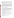any regulations covered by state or local procurement requirements. The regulations also contain limitations on consultant compensation. Applicants are not required to identify contractors or consultants in their application. Moreover, the fact that a successful applicant has named a specific contractor or consultant in the application EPA approves does not relieve it of its obligations to comply with competitive procurement requirements as well as any regulations covered by state or local procurement requirements.

Sub-grants or sub-awards may be used to fund partnerships with non-profit organizations and governmental entities, or to provide financial assistance for reducing nonroad diesel emissions in public, tribal or private fleets. Successful applicants cannot use sub-grants or sub-awards to avoid requirements in EPA grant or cooperative agreement regulations for competitive procurement by using these instruments to acquire commercial services or products to carry out its cooperative agreement. The nature of the transaction between the recipient and the sub-grantee must be consistent with the standards for distinguishing between vendor transactions and sub-recipient assistance under Subpart B Section .210 of  $\overline{\text{OMB} \text{ Circular A-133}^4}$  and the definitions of "subaward" at 40 CFR 30.2(ff) or "sub-grant" at 40 CFR 31.3, as applicable. EPA will not be a party to these transactions.

## **F. Will EPA consider partial funding for projects?**

Yes, EPA reserves the right to partially fund proposals/applications by funding discrete activities, portions, or phases of the proposed project. If EPA decides to partially fund the proposal/application, it will do so in a manner that does not prejudice any applicants or affect the basis upon which the proposal/application, or portion thereof, was evaluated and selected for award, and that maintains the integrity of the competition and the evaluation/selection process.

### **G. Can applicants awarded funding in previous competitions submit new applications to fund a different project or additional vehicles and equipment?**

Yes, EPA will consider such applications.

## **H. Would highway vehicles such as dump trucks that are used in construction applications be considered for funding?**

As a general rule, highway projects are not eligible for funding. However, we will consider highway vehicles such as dump trucks and waste haulers in cases where they are used in construction and port applications.

### **I. Are school bus projects eligible under this competitive announcement?**

 No. School bus projects have a separate, dedicated funding opportunity and are not eligible under this competition.

 $\overline{a}$ 4 The Office of Management and Budget's Circular No. A-133 can be found at: <http://www.whitehouse.gov/omb/circulars/a133/a133.html>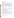#### **III. ELIGIBILITY INFORMATION**

#### **A. Eligible Entities**

Proposals will be accepted from state, local, multi-state, and tribal governmental agencies, universities, and non-profit organizations, as defined by **OMB** Circular  $A-122$ <sup>5</sup>.

Non-profit organization, as defined by OMB Circular A-122, means any corporation, trust, association, cooperative, or other organization which: (1) is operated primarily for scientific, educational, service, charitable, or similar purposes in the public interest; (2) is not organized primarily for profit; and (3) uses its net proceeds to maintain, improve, and/or expand its operations. For this purpose, the term "non-profit organization" excludes (i) colleges and universities; (ii) hospitals; (iii) state, local, and federally-recognized Indian tribal governments; and (iv) those nonprofit organizations which are excluded from coverage of this Circular in accordance with paragraph 5 of the Circular.

Non-profit organizations described in Section  $501(c)(4)$  of the Internal Revenue Code that engage in lobbying activities as defined in Section 3 of the Lobbying Disclosure Act of 1995 are not eligible to apply.

#### **B. Cost-Sharing or Matching**

Cost-sharing is not required. However, leveraging federal dollars is encouraged and will make an application more competitive. Leveraged funds may be provided in the form of cash or an "in-kind" contribution. An in-kind contribution is the reasonable value of property and services which benefit the project.

#### **IV. APPLICATION AND SUBMISSION INFORMATION**

#### **A. How to Obtain an Application Package.**

The complete cooperative agreement application package can be downloaded from EPA's Office of Grants and Debarment website at [http://www.epa.gov/ogd/grants/how\\_to\\_apply.htm.](http://www.epa.gov/ogd/grants/how_to_apply.htm) Potential applicants may request a paper copy of the application package by contacting one of the agency contacts listed in Section VII of this announcement.

Please note that only the signed Standard Form 424 "Application for Federal Assistance" (one page) needs to be included in the application, along with the narrative portion of the application (work plan and budget). If the application is selected for funding, the entire grants package will need to be completed.

<u>.</u>

<sup>5</sup> The Office of Management and Budget's Circular No. A-122 can be found at: <http://www.whitehouse.gov/omb/circulars/a122/a122.html>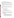#### **B. Where and How to Send in Applications.**

Application packages must be submitted **electronically by the deadline**. Applicants have the option of either submitting an email of the application package directly to [NCDC\\_RFA05@epa.gov](mailto:NCDC_RFA05@epa.gov). or by utilizing<http://www.grants.gov/Apply>(see section F. below). Regardless of which electronic mechanism is utilized, the email must be received no later than 5 p.m. EDT, July 1, 2005.

Note: applicants that do not have access to email should contact Monica Beard-Raymond at 734-214-4047 or Steve Albrink at 202-343-9671 in advance of the deadline to receive a waiver of this requirement and the mailing address. Applications received after the deadline date will not be considered for funding.

If you are submitting your application through the Grants.gov initiative, please see section F below.

**EPA appreciates your attention to the requirement for electronic submittals. Electronic submittals facilitate the review process and also aid in the Agency's mission to limit use of paper.** 

### **C. Content and Form of Application Submission.**

- 1. Applications must contain the following:
	- a. Signed Standard Form 424 (one page)
	- b. Narrative Work Plan following the **required** outline below
	- c. Budget details as outlined in item 3 below

In addition, optional materials such as letters of support from potential sub-awardees or partners and/or a copy of the organization's diesel emissions reduction policy may be included.

- 2. The narrative, a maximum of 15 pages in length, should follow the outline below. Pages exceeding the maximum length will not be considered. Refer to the criteria below in *Section IV., Selection Criteria*, for more information on how to write your application and what EPA is looking for in the applications.
	- a.) Summary Information:
		- Project Title
		- Applicant Information. Include applicant (organization) name, address, contact person, phone numbers(s), fax and e-mail address.
		- Funding Requested. Specify the amount you are requesting from EPA.
		- Total Project Cost. Specify total cost of the project (EPA funding and costshare). Identify funding and sources including any in-kind resources.
		- Project Period. Provide beginning and end dates (for planning purposes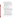applicants should assume funds will be available in October 2005).

- b.) Describe the fleet in detail. The following information must be provided, or estimated (in the case of applications involving sub-grants):
	- Number and type of vehicles and equipment affected by this application,
	- Vehicles and equipment characteristics such as engine model and model year, engine manufacturer, engine family designation<sup>6</sup>, engine size, annual fuel consumption, annual hours of operation and who owns, maintains and operates the vehicles/equipment,
	- A description of the type of work performed by the vehicles/equipment,
	- A description of the population at the location where the vehicles/equipment operate and if any susceptible populations such as children, the elderly and the chronically ill are likely to be affected,
	- A description of the location in which the vehicles/equipment operate,
	- The fleet replacement rate,
	- The type of retrofit technology that may be used.

In the case of applications involving sub-grants, explain how you estimated the fleet information. Describe data sources and how they were used.

- c.) Project Description and Demonstration Plan:
	- i) Describe the project in detail: the technology(ies) and/or fuels to be used, the vehicles/equipment to be retrofitted, repowered or replaced, partnerships involved, and a timeline for the project. Include information that shows that the chosen strategy has been researched and will be successful/suitable in the specified application. Include plans for bidding, ordering and installation phases as well as any other events and that impact the overall application. If the technology requires different fuels, specify the plan for acquiring the fuel.
	- ii) Discuss how your chosen diesel pollution reduction strategy contributes to the following EPA goals:
		- 1.) most beneficial and effective diesel emissions reduction,
		- 2.) innovative or unique demonstration of a verified or certified technology or emissions reduction strategy (repower, replacement),
		- 3.) widespread adoption of diesel reduction strategies.

Present a rationale for how the strategy chosen for this project will contribute to EPA's goals and discuss what environmental results you plan to attain with your project (it is not necessary to calculate PM, NOx or other pollutant reductions). Submit a plan for tracking and measuring progress toward achieving the expected outputs and outcomes outlined in Section I. Additionally, talk about the demonstration value of your project. Explain what your project will be testing that is not already common knowledge and

 $\overline{a}$ 

<sup>6</sup> Information on engine family codes can be found at:<http://www.epa.gov/otaq/retrofit/retrofitfleet.htm>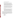what new information will this project convey.

- iii) Discuss how your project will be sustained over time and other factors contributing to its likelihood for success.
- iv) Discuss any policies or practices that your organization either enacted, encourages or requires that demonstrate a commitment to diesel pollution reduction. Indicate if your organization has a community-based toxic reductions program or an Environmental Management System or has committed itself to developing one in the near future. If your organization has an EMS, please indicate whether air quality is identified as a significant issue. Other example practices include idle reduction policies, voluntary use of low sulfur fuels, or operational techniques that reduce diesel emissions.
- v) As part of the reporting requirements of this cooperative agreement program, EPA requires quarterly updates and a detailed follow-up case study report. The case study should include: summary of project, reductions achieved if applicable, cost analysis, problems, successes, and lessons learned. Discuss how your organization plans to meet these reporting requirements.
- vi) Include any other information to help the Selection Panel better understand your application.
- vii) Applicants must submit information relating to the programmatic capability criteria to be evaluated under the ranking factor(s) in section V of the announcement. EPA will consider information provided by the applicant and may consider information from other sources including Agency files. Valuable information regarding programmatic capability include past performance in similar projects, a history of meeting reporting requirements, organizational experience and staff expertise/qualifications and resources.
- 3. Budget: Prepare a detailed and narrative budget. Indicate the amount of funding being requested from EPA and provide the total cost of project (identify other funding sources including any in-kind resources). Clearly explain how EPA funds will be used as well as how any matching contributions – both financial and in-kind services – will be used. If applicable, describe how leveraged resources will be obtained and the role EPA funding will play in the overall project. The budget should be clearly tied to the narrative work plan so that applicant reviewers can easily discern how costs are related to the overall project. Provide a budget for the following categories:
	- 1. Personnel
	- 2. Fringe Benefits
	- 3. Contractual Costs
	- 4. Travel
	- 5. Vehicles/Equipment
	- 6. Supplies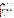- 7. Other
- 8. Total Direct Costs
- 9. Total Indirect Costs: must include documentation of accepted indirect rate
- 10. In-kind or financial contributions to the project
- 11. Total Cost

All application materials must be completed in English. The minimum acceptable font size for application materials, excluding the SF-424, shall be 12 pitch.

### **D. Submission Dates and Times**

*Intent to Apply*: An informal notice of "Intent to Apply" simply states in the form of email (preferred) or fax that an organization intends to submit an application to be received by the deadline. In order to efficiently manage the selection process, please send an informal "Intent to Apply" by May 27, 2005 to:

| Email: | NCDC_RFA05@epa.gov |
|--------|--------------------|
| FAX:   | 734-214-4869       |

Please provide name of the organization, its mailing address, point of contact, phone and fax numbers, and email address. Submitting an "Intent to Apply" does not commit an organization to submit a final application. The "Intent to Apply" is an optional submission; those entities not submitting an "Intent to Apply" are still eligible and may still apply by the deadline.

*Application Due Date*: The deadline for receipt of applications is July 1, 2005 at 5:00pm EDT. Proposals will be considered timely upon receipt, not transmission. Refer to *Section IV, Content and Form of Application Submission*, for detailed instructions on preparing an application. Refer to *Section IV, When and How to Send in Application*, for instructions on submitting an application. Failure to meet requirements for preparing and submitting applications may be grounds for disqualifying an application. Applicants are strongly urged to follow format and submittal instructions.

# **E. Other Submission Requirements**

Applications must be submitted electronically in Microsoft Word, Word Perfect, or PDF format to: NCDC\_RFA05@epa.gov. The fleet information may be submitted in a Microsoft Excel spreadsheet.

# **F. Optional Method for Electronic Filing of Applications: Grants.gov**

Applicants have the option of either submitting an email of the application package directly to [NCDC\\_RFA05@epa.gov](mailto:NCDC_RFA05@epa.gov) or by utilizing the Grants.gov initiative. EPA is participating in the Grants.gov initiative that provides the Grant Community a single site to find and apply for grant funding opportunities. Therefore, EPA also encourages applicants to submit their applications electronically through [http://www.grants.gov/Apply.](http://www.grants.gov/Apply)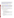If you choose to submit your application electronically utilizing the grants.gov initiative, you must use the electronic application package available at the<http://www.grants.gov/>. In order to view the application package, you will need to download the PureEdge viewer (hyperlink available under "Get Started" then "Get Started Step 2"). You may then access the application package at [https://apply.grants.gov/forms\\_apps\\_idx.html](https://apply.grants.gov/forms_apps_idx.html) using either the CFDA number of 66.034 or Funding Opportunity Number OAR-CCD-05-14. Each synopsis on Grants.gov has a link to Apply Electronically for that opportunity at the bottom of the page.

It is recommended that you "Register to Receive Notification" of announcement updates.

The actual submission of your application must be made by an official representative of your institution who is registered with<http://www.grants.gov/>(most investigators will not be eligible to submit the application). Please see [http://www.grants.gov/,](http://www.grants.gov/) "Get Started" for further information. The registration process may take a week or longer. Please check with your Sponsored Programs, or equivalent, office to locate your official representative and see if your institution is registered. If your institution is not currently registered, encourage your official representative to begin the process immediately.

The complete application must be transferred to<http://www.grants.gov/>no later than 5:00 p.m. Eastern Daylight Time on the closing date (see "Submission Dates and Times").

Documents that are attached to the Grants.gov package must be submitted in Adobe Acrobat PDF format to maintain format integrity. Please submit the required documents as described below.

# **Application for Federal Assistance (SF-424)**

1. Complete the form. There are no attachments.

# **Project Narrative Attachment Form**

1. Prepare one document following the outline listed below in the section titled, "**Content and Form of Application Submission".** Label it "Project Narrative" and submit it as the "Add Mandatory Project Narrative File."

2. Prepare one document containing all resumes and related current and pending support information, label it Resumes, and submit it as an "Add Optional Project Narrative File."

# B**udget Narrative Attachment Form**

1. Where possible, prepare one document for your Budget and Budget Justification. Label this document *BudgetandJustification*, and submit it as the "Add Mandatory Budget Narrative."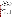2. If you cannot combine your Budget and Budget Justification into one document, prepare one document for each.

a. Label your Budget document *Budget* and submit it as the "Add Mandatory Budget Narrative."

b. Label the Budget Justification document *BudgetJustification* and submit it as an "Add Optional Budget Narrative" document.

Save your completed application package with two different names before submission to avoid having to re-create the package should you experience submission problems. If you experience submission problems that may result in your application being late, send an email to support@grants.gov and copy the electronic submission support person identified in the announcement.

# **V. APPLICATION REVIEW INFORMATION**

### **A. Selection Criteria**

Each eligible application will be evaluated according to the criteria set forth below. Applications which are best able to directly and explicitly address these criteria will have a greater likelihood of being selected for award. Each application will be rated under a points system, with a total of 100 points possible.

1. Primary Evaluation Factors (Total – 100 points)

| <b>Criterion</b>                                                                  | <b>Maximum</b><br>Points per<br><b>Criterion</b> |
|-----------------------------------------------------------------------------------|--------------------------------------------------|
| <b>Project Description and Implementation Plan:</b> EPA will be evaluating the    |                                                  |
| details of the plan for implementing the project, including the type of           | 25                                               |
| technology(ies) and/or fuels chosen, the vehicles to be retrofitted or replaced,  |                                                  |
| and a timeline for each phase of the project. Other information to be evaluated   |                                                  |
| includes whether the chosen strategy has been researched and will be              |                                                  |
| successful/suitable in the specified application, whether the proposal includes a |                                                  |
| plan for acquiring fuel if cleaner fuel will be used, and whether the timeline    |                                                  |
| includes plans for bid, ordering and installation phases, as well as any other    |                                                  |
| events that impact the overall application.                                       |                                                  |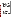| <b>Effectiveness, Environmental Results and Anticipated Outcomes/Outputs:</b>          |    |
|----------------------------------------------------------------------------------------|----|
| EPA will evaluate whether projects will achieve significant reductions in air          | 15 |
| emissions, in terms of projected tons of pollutants reduced. Other information         |    |
| which will be evaluated includes an estimate the percentage of emissions               |    |
| reductions of particulate matter, oxides of nitrogen, hydrocarbons and carbon          |    |
| monoxide on a per vehicle/equipment basis (based on usage, technology                  |    |
| capability, and remaining life). EPA will also be looking for how effectively          |    |
| the project is employing the most cost effective diesel emissions clean-up             |    |
| strategy(ies). Also examined will be the effectiveness of the applicant's plan         |    |
| for tracking and measuring progress toward achieving expected outputs and              |    |
| outcomes identified in Section 1 of this announcement.                                 |    |
| <b>Fleet Description:</b> EPA will be evaluating the details of the proposed fleet. If |    |
| estimations are used in the case of applications for sub-grants, we will be            | 15 |
| looking for how you estimated the potential fleet. EPA will examine proposals          |    |
| for the following information: fleet purpose (e.g. moving containers, earth            |    |
| excavation), the number of vehicles/machines, the engine manufacturers,                |    |
| engine model and model year, engine size, engine family code, annual fuel              |    |
| consumption or annual hours of operation, fleet replacement rate, and any              |    |
| retrofit fuel cost differential. Also examined will be relationship of the             |    |
| applicant to the fleet (own, lease, contract).                                         |    |
| <b>Programmatic Capability, Likelihood of Success and Partner Support:</b>             | 15 |
| <i>Programmatic Capability:</i> EPA will evaluate such factors as the applicant's:     |    |
| (i) past performance in successfully completing federally and/or non-federally         |    |
| funded projects similar in size, scope, and relevance to the proposed project,         |    |
| (ii) history of meeting reporting requirements on prior or current assistance          |    |
| agreements with federal and/or non-federal organizations and submitting                |    |
| acceptable final technical reports, (iii) organizational experience and plan for       |    |
| timely and successfully achieving the objectives of the project, and (iv) staff        |    |
| expertise/qualifications, staff knowledge, and resources or the ability to obtain      |    |
| them, to successfully achieve the goals of the project.                                |    |
| Likelihood of Success: EPA will be looking for an explanation about how you            |    |
| will effectively implement a strategy that can be replicated and shared. For           |    |
| innovative or unique applications of technologies, we will be looking for a            |    |
| technical rationale outlining why the technology is suitable in this application       |    |
| and how the project will find and respond to potential issues.                         |    |
| Partner Support: EPA will be examining proposals for letters of support from           |    |
| any participating partners, and fleets managers (public or private) and                |    |
| information on any leveraging funds or in-kind resources that partners will be         |    |
| providing.                                                                             |    |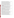| <b>Demonstration Value: Innovative Use and Adoption Potential:</b><br>EPA will evaluate whether projects clearly demonstrate how they will provide<br>long-term value to the goal of reducing diesel emissions in nonroad vehicles<br>and equipment such as that used in construction and port operations. This will<br>include whether projects demonstrate novel applications of verified retrofit<br>technologies, cleaner fuels, repowers or vehicle/equipment replacements that<br>have not yet been widely implemented but have the potential for wider<br>adoption. Innovative or unique applications of emissions reduction solutions<br>will be favored, and a technical justification for the technology's suitability is<br>required. EPA will also examine whether there is information to support<br>claims of a technology's adoption potential or suitability, cost effectiveness,<br>and attractiveness to owner/operators or fleet managers (operational value, ease<br>of maintenance etc.). | 10 |
|----------------------------------------------------------------------------------------------------------------------------------------------------------------------------------------------------------------------------------------------------------------------------------------------------------------------------------------------------------------------------------------------------------------------------------------------------------------------------------------------------------------------------------------------------------------------------------------------------------------------------------------------------------------------------------------------------------------------------------------------------------------------------------------------------------------------------------------------------------------------------------------------------------------------------------------------------------------------------------------------------------------|----|
| Financial Participation. Although there is no requirement for cost-sharing or<br>a financial match, applicants proposing a voluntary financial or in-kind<br>commitment of resources will improve their scoring under this criterion. Under<br>this criteria, applicants will be evaluated based on the extent they demonstrate<br>(i) how they will coordinate the use of EPA funding with other Federal and/or<br>non-Federal sources of funds to leverage additional resources to carry out the<br>proposed project(s) and/or (ii) that EPA funding will compliment activities<br>relevant to the proposed project(s) carried out by the applicant with other<br>sources of funds or resources.                                                                                                                                                                                                                                                                                                             | 10 |
| <b>Commitment to Emissions Reduction or Environmental Stewardship:</b><br>Applications will be evaluated based on a demonstration that a commitment (or<br>existing effort) to implement policies exists to support retrofit projects by<br>reducing pollution in other ways. Examples include an Environmental<br>Management System, anti-idling/idling reduction policy, port related<br>information technology enhancements that have an emissions benefit,<br>community-based toxic reduction program or other pollution reduction<br>program.                                                                                                                                                                                                                                                                                                                                                                                                                                                             | 5  |
| Impact on Susceptible Populations. Projects will be evaluated on whether<br>they benefit susceptible populations. Susceptible populations include children,<br>the elderly and the chronically ill. Applications will be examined to determine<br>if targeted fleets travel through or operate in areas considered to have<br>susceptible populations and whether they include an estimate of the amount of<br>time (or percentage of time) that proposed vehicles spend in such areas and an<br>explanation how this information was derived. EPA will examine the<br>applications for supporting documentation from federal or nationally<br>recognized private sources (e.g., foundations) indicating the concentration of<br>susceptible populations and whether they include information about the<br>existence of community-based toxics reduction programs in the affected area.                                                                                                                        | C  |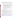#### 2. Other Factors

EPA, in evaluating applications, will carefully consider other factors that are designed to ensure geographic equity and vehicle/equipment diversity, as well as a balance between urban and rural, large and small entities, and construction or port related projects. These factors are as follows:

- a. Geographic Dispersion: EPA will attempt to distribute funds throughout the United States.
- b. Air Quality: If the vehicles/equipment operate within an area that has poor air quality, it may have some bearing on the final selections. Poor air quality areas can consist of areas designated (or at risk of future designation) by EPA to be in nonattainment or maintenance for a criteria pollutant, or that have localized air pollution problems. See<http://www.epa.gov/oar/oaqps/greenbk/>
- c. Environmental Justice: EPA will consider whether the project improves the health of communities that are considered low-income, suffer from high rate of asthma, or receive a disproportionate amount of pollution from diesel vehicles.
- d. Technology and Vehicle/Equipment Diversity: EPA will consider whether there is an adequate mix of emission control technologies and applications on vehicles/equipment.
- e. Variety of Vehicle/Equipment Applications: EPA will consider a balance of projects between the construction and ports sectors.

### **B. Review and Selection Process**

Each application will be evaluated by a team chosen to address a full range of air quality matters. The Evaluation Team will base its evaluation solely on the selection criteria disclosed in this notice. *Completed evaluations will be referred to a Selection Committee that is responsible for applying the other factors and determining final selection.*

The Office of Transportation and Air Quality expects to complete the Evaluation/Selection process and make recommendations to EPA's grants office by late Summer or Fall 2005.

At the time of notification, selected entities will be invited to submit a completed and signed full federal grant application package. The complete grants application package can be downloaded at: [http://www.epa.gov/ogd/AppKit/index.htm.](http://www.epa.gov/ogd/AppKit/index.htm)

Assistance agreement competition-related disputes will be resolved in accordance with the dispute resolution procedures published in 70 FR (Federal Register) 3629, 3630 (January 26, 2005) which can be found at

[http://a257.g.akamaitech.net/7/257/2422/01jan20051800/edocket.access.gpo.gov/2005/05-1371.htm.](http://a257.g.akamaitech.net/7/257/2422/01jan20051800/edocket.access.gpo.gov/2005/05-1371.htm) Copies of these procedures may also be requested by contacting the agency contact below.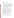## **VI. AWARD ADMINISTRATION INFORMATION**

### **A. Award Notices**

Following final selections, all applicants will be notified regarding their application's status.

- 1. EPA anticipates notification to *successful* applicant(s) will be made via telephone, electronic or postal mail within 15 days of selection. This notification, which advises that the applicant's proposal has been selected and is being recommended for award, is not an authorization to begin performance. The award notice signed by the EPA grants officer is the authorizing document and will be provided through postal mail. At a minimum, this process can take up to 90 days from the date of selection.
- 2. EPA anticipates notification to *unsuccessful* applicant(s) will be made via electronic or postal mail within 15 days of selection of successful applicants. In either event, the notification will be sent to the original signer of the application.

### **B. Administrative and National Policy Requirements**

- 1. A listing and description of general EPA Regulations applicable to the award of assistance agreements may be viewed at: [http://www.epa.gov/ogd/AppKit/applicable\\_epa\\_regulations\\_and\\_description.htm.](http://www.epa.gov/ogd/AppKit/applicable_epa_regulations_and_description.htm)
- 2. Executive Order 12372, Intergovernmental Review of Federal Programs may be applicable to awards, resulting from this announcement. Applicants *selected* for funding may be required to provide a copy of their proposal to their [State Point of](http://www.whitehouse.gov/omb/grants/spoc.html)  [Contact](http://www.whitehouse.gov/omb/grants/spoc.html) (SPOC) for review, pursuant to Executive Order 12372, Intergovernmental Review of Federal Programs. This review is not required with the Initial Proposal and not all states require such a review.
- 3. All applicants are required to provide a Dun and Bradstreet (D&B) Data Universal Numbering System (DUNS) number when applying for a Federal grant or cooperative agreement. Applicants can receive a DUNS number, at no cost, by calling the dedicated toll-free DUNS Number request line at 1-866-705-5711, or visiting the D&B website at: [http://www.dnb.com.](http://www.dnb.com)
- 4. Grants and agreements with institutions of higher education are subject to 40 CFR Parts 30 and 40 and OMB circular A-122 for non-profits and A-21 for institutions of higher learning.
- 5. Programmatic Terms and conditions will be negotiated with the selected recipient.
- 6. Non-profit organizations recommended for funding will be subject to a pre-award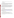administrative capability assessment consistent with Sections 8.b, 8.c, and 9.d of EPA Order 5700.8.

### **C. Reporting Requirement**

Quarterly performance reports and a detailed follow-up case-study report will be required. The case-study report should include: a summary of the project, specifications of technologies and fuel used, detailed description of the demonstration fleet, summary of emissions reductions achieved, cost analyses, problems, successes, and lessons learned. The schedule for submission of quarterly reports will be established, by EPA, after award.

While the Agency will negotiate precise terms and conditions relating to substantial involvement as part of the award process, EPA expects to closely monitor the successful applicant(s) performance, collaborate during the performance of the scope of work, approve the substantive terms of proposed contracts, approve the qualifications of key personnel, review and comment on reports prepared under the cooperative agreement, and evaluate the engineering improvements on an EPA demonstration project. EPA will not select employees or contractors employed by the recipient(s) and the final decision on the content of reports rests with the recipient(s).

### **VII. AGENCY CONTACTS**

#### **A. Questions/Comments**

Questions or comments must be communicated in writing via regular U.S. mail, facsimile, or electronic mail to the contact person indicated in the section entitled "For Further Information Contact" below. Answers will be posted, bi-weekly, until the closing date of this announcement at the OAR Grants/Funding webpage [\(http://www.epa.gov/air/grants\\_funding.html\)](http://www.epa.gov/air/grants_funding.html). Questions can be emailed to NCDC\_RFA05@epa.gov, faxed to (734)214-4869, or mailed to the "Further Information Contact" listed below.

#### **B. For Further Information Contact**

Monica Beard-Raymond, US EPA, National Vehicle and Fuel Emissions Laboratory, Certification and Compliance Division, 2000 Traverwood Drive, Ann Arbor, MI 48105. Phone (734) 214-4047; Fax (734) 214-4869; or email NCDC\_RFA05@epa.gov.

Steve Albrink, US EPA, US EPA Headquarters, Ariel Rios Building, Mail Code 6405J, 1200 Pennsylvania Avenue, N. W., Washington, DC 20460. Phone (202) 343-9671; Fax (202) 343-2804; or email NCDC\_RFA05@epa.gov.